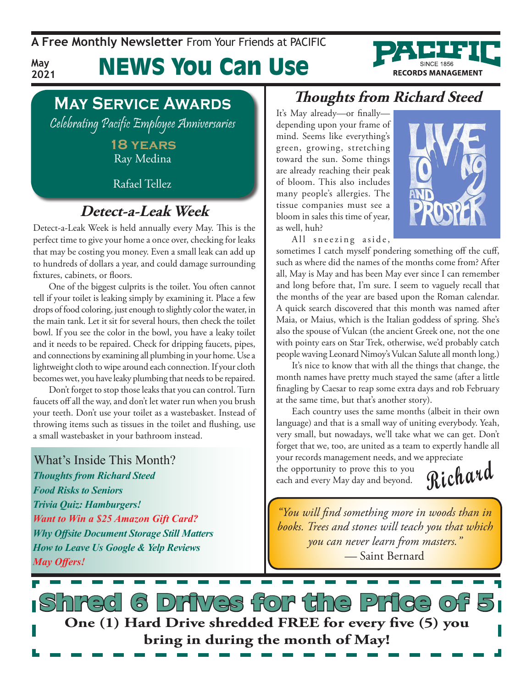**A Free Monthly Newsletter** From Your Friends at Pacific

**May 2021** News You Can Use



## **May Service Awards**

Celebrating Pacific Employee Anniversaries

#### **18 years** Ray Medina

Rafael Tellez

## **Detect-a-Leak Week**

Detect-a-Leak Week is held annually every May. This is the perfect time to give your home a once over, checking for leaks that may be costing you money. Even a small leak can add up to hundreds of dollars a year, and could damage surrounding fixtures, cabinets, or floors.

One of the biggest culprits is the toilet. You often cannot tell if your toilet is leaking simply by examining it. Place a few drops of food coloring, just enough to slightly color the water, in the main tank. Let it sit for several hours, then check the toilet bowl. If you see the color in the bowl, you have a leaky toilet and it needs to be repaired. Check for dripping faucets, pipes, and connections by examining all plumbing in your home. Use a lightweight cloth to wipe around each connection. If your cloth becomes wet, you have leaky plumbing that needs to be repaired.

Don't forget to stop those leaks that you can control. Turn faucets off all the way, and don't let water run when you brush your teeth. Don't use your toilet as a wastebasket. Instead of throwing items such as tissues in the toilet and flushing, use a small wastebasket in your bathroom instead.

What's Inside This Month? *Thoughts from Richard Steed Food Risks to Seniors Trivia Quiz: Hamburgers! Want to Win a \$25 Amazon Gift Card? Why Offsite Document Storage Still Matters How to Leave Us Google & Yelp Reviews May Offers!*

### **Thoughts from Richard Steed**

It's May already—or finally depending upon your frame of mind. Seems like everything's green, growing, stretching toward the sun. Some things are already reaching their peak of bloom. This also includes many people's allergies. The tissue companies must see a bloom in sales this time of year, as well, huh?

All sneezing aside,



sometimes I catch myself pondering something off the cuff, such as where did the names of the months come from? After all, May is May and has been May ever since I can remember and long before that, I'm sure. I seem to vaguely recall that the months of the year are based upon the Roman calendar. A quick search discovered that this month was named after Maia, or Maius, which is the Italian goddess of spring. She's also the spouse of Vulcan (the ancient Greek one, not the one with pointy ears on Star Trek, otherwise, we'd probably catch people waving Leonard Nimoy's Vulcan Salute all month long.)

It's nice to know that with all the things that change, the month names have pretty much stayed the same (after a little finagling by Caesar to reap some extra days and rob February at the same time, but that's another story).

Each country uses the same months (albeit in their own language) and that is a small way of uniting everybody. Yeah, very small, but nowadays, we'll take what we can get. Don't forget that we, too, are united as a team to expertly handle all your records management needs, and we appreciate

the opportunity to prove this to you each and every May day and beyond. **Richard** 

*"You will find something more in woods than in books. Trees and stones will teach you that which you can never learn from masters." —* Saint Bernard

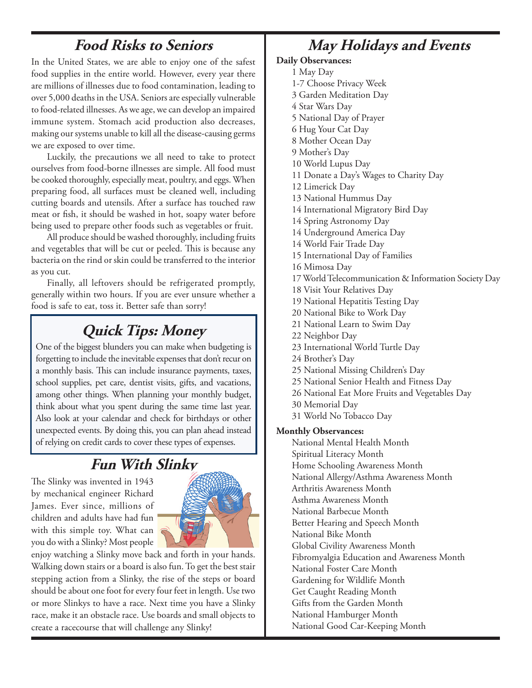## **Food Risks to Seniors**

In the United States, we are able to enjoy one of the safest food supplies in the entire world. However, every year there are millions of illnesses due to food contamination, leading to over 5,000 deaths in the USA. Seniors are especially vulnerable to food-related illnesses. As we age, we can develop an impaired immune system. Stomach acid production also decreases, making our systems unable to kill all the disease-causing germs we are exposed to over time.

Luckily, the precautions we all need to take to protect ourselves from food-borne illnesses are simple. All food must be cooked thoroughly, especially meat, poultry, and eggs. When preparing food, all surfaces must be cleaned well, including cutting boards and utensils. After a surface has touched raw meat or fish, it should be washed in hot, soapy water before being used to prepare other foods such as vegetables or fruit.

All produce should be washed thoroughly, including fruits and vegetables that will be cut or peeled. This is because any bacteria on the rind or skin could be transferred to the interior as you cut.

Finally, all leftovers should be refrigerated promptly, generally within two hours. If you are ever unsure whether a food is safe to eat, toss it. Better safe than sorry!

## **Quick Tips: Money**

One of the biggest blunders you can make when budgeting is forgetting to include the inevitable expenses that don't recur on a monthly basis. This can include insurance payments, taxes, school supplies, pet care, dentist visits, gifts, and vacations, among other things. When planning your monthly budget, think about what you spent during the same time last year. Also look at your calendar and check for birthdays or other unexpected events. By doing this, you can plan ahead instead of relying on credit cards to cover these types of expenses.

## **Fun With Slinky**

The Slinky was invented in 1943 by mechanical engineer Richard James. Ever since, millions of children and adults have had fun with this simple toy. What can you do with a Slinky? Most people



enjoy watching a Slinky move back and forth in your hands. Walking down stairs or a board is also fun. To get the best stair stepping action from a Slinky, the rise of the steps or board should be about one foot for every four feet in length. Use two or more Slinkys to have a race. Next time you have a Slinky race, make it an obstacle race. Use boards and small objects to create a racecourse that will challenge any Slinky!

## **May Holidays and Events**

#### **Daily Observances:**

- 1 May Day
- 1-7 Choose Privacy Week
- 3 Garden Meditation Day
- 4 Star Wars Day
- 5 National Day of Prayer
- 6 Hug Your Cat Day
- 8 Mother Ocean Day
- 9 Mother's Day
- 10 World Lupus Day
- 11 Donate a Day's Wages to Charity Day
- 12 Limerick Day
- 13 National Hummus Day
- 14 International Migratory Bird Day
- 14 Spring Astronomy Day
- 14 Underground America Day
- 14 World Fair Trade Day
- 15 International Day of Families
- 16 Mimosa Day
- 17 World Telecommunication & Information Society Day
- 18 Visit Your Relatives Day
- 19 National Hepatitis Testing Day
- 20 National Bike to Work Day
- 21 National Learn to Swim Day
- 22 Neighbor Day
- 23 International World Turtle Day
- 24 Brother's Day
- 25 National Missing Children's Day
- 25 National Senior Health and Fitness Day
- 26 National Eat More Fruits and Vegetables Day
- 30 Memorial Day
- 31 World No Tobacco Day

#### **Monthly Observances:**

National Mental Health Month Spiritual Literacy Month Home Schooling Awareness Month National Allergy/Asthma Awareness Month Arthritis Awareness Month Asthma Awareness Month National Barbecue Month Better Hearing and Speech Month National Bike Month Global Civility Awareness Month Fibromyalgia Education and Awareness Month National Foster Care Month Gardening for Wildlife Month Get Caught Reading Month Gifts from the Garden Month National Hamburger Month National Good Car-Keeping Month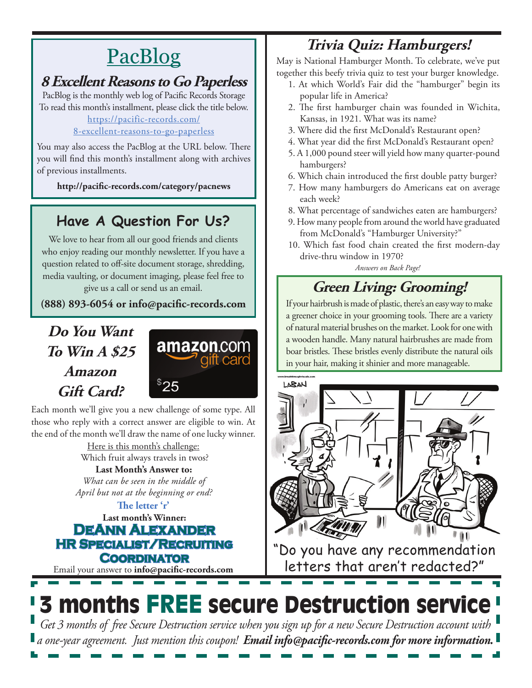# PacBlog

## **8 Excellent Reasons to Go Paperless**

PacBlog is the monthly web log of Pacific Records Storage To read this month's installment, please click the title below[.](http://pacific-records.com/5-advantages-of-a-local-shredding-and-destruction-provider) [https://pacific-records.com/](https://pacific-records.com/8-excellent-reasons-to-go-paperless)

#### [8-excellent-reasons-to-go-paperless](https://pacific-records.com/8-excellent-reasons-to-go-paperless)

You may also access the PacBlog at the URL below. There you will find this month's installment along with archives of previous installments.

**http://pacific-records.com/category/pacnews**

## **Have A Question For Us?**

We love to hear from all our good friends and clients who enjoy reading our monthly newsletter. If you have a question related to off-site document storage, shredding, media vaulting, or document imaging, please feel free to give us a call or send us an email.

**(888) 893-6054 or info@pacific-records.com**

## **Do You Want To Win A \$25 Amazon Gift Card?**



Each month we'll give you a new challenge of some type. All those who reply with a correct answer are eligible to win. At the end of the month we'll draw the name of one lucky winner.

Here is this month's challenge: Which fruit always travels in twos?

**Last Month's Answer to:**  *What can be seen in the middle of April but not at the beginning or end?*

**Last month's Winner: DeAnn Alexander HR Specialist/Recruiting Coordinator The letter 'r'**

Email your answer to **info@pacific-records.com**

## **Trivia Quiz: Hamburgers!**

May is National Hamburger Month. To celebrate, we've put together this beefy trivia quiz to test your burger knowledge.

- 1. At which World's Fair did the "hamburger" begin its popular life in America?
- 2. The first hamburger chain was founded in Wichita, Kansas, in 1921. What was its name?
- 3. Where did the first McDonald's Restaurant open?
- 4. What year did the first McDonald's Restaurant open?
- 5. A 1,000 pound steer will yield how many quarter-pound hamburgers?
- 6. Which chain introduced the first double patty burger?
- 7. How many hamburgers do Americans eat on average each week?
- 8. What percentage of sandwiches eaten are hamburgers?
- 9. How many people from around the world have graduated from McDonald's "Hamburger University?"
- 10. Which fast food chain created the first modern-day drive-thru window in 1970?

*Answers on Back Page!*

## **Green Living: Grooming!**

If your hairbrush is made of plastic, there's an easy way to make a greener choice in your grooming tools. There are a variety of natural material brushes on the market. Look for one with a wooden handle. Many natural hairbrushes are made from boar bristles. These bristles evenly distribute the natural oils in your hair, making it shinier and more manageable.



"Do you have any recommendation letters that aren't redacted?"

# 3 months FREE secure Destruction service

*Get 3 months of free Secure Destruction service when you sign up for a new Secure Destruction account with a one-year agreement. Just mention this coupon! Email info@pacific-records.com for more information.*